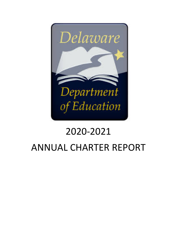

# 2020-2021 ANNUAL CHARTER REPORT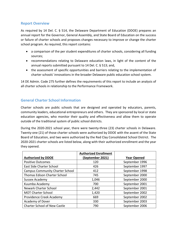# **Report Overview**

As required by 14 Del. C. § 514, the Delaware Department of Education (DDOE) prepares an annual report for the Governor, General Assembly, and State Board of Education on the success or failure of charter schools and proposes changes necessary to improve or change the charter school program. As required, this report contains:

- a comparison of the per student expenditures of charter schools, considering all funding sources;
- recommendations relating to Delaware education laws, in light of the content of the annual reports submitted pursuant to 14 Del. C. § 513; and,
- the assessment of specific opportunities and barriers relating to the implementation of charter schools' innovations in the broader Delaware public education school system.

14 DE Admin. Code 275 further defines the requirements of this report to include an analysis of all charter schools in relationship to the Performance Framework.

# **General Charter School Information**

Charter schools are public schools that are designed and operated by educators, parents, community leaders, educational entrepreneurs and others. They are sponsored by local or state education agencies, who monitor their quality and effectiveness and allow them to operate outside of the traditional system of public school districts.

During the 2020-2021 school year, there were twenty-three (23) charter schools in Delaware. Twenty-one (21) of those charter schools were authorized by DDOE with the assent of the State Board of Education, and two were authorized by the Red Clay Consolidated School District. The 2020-2021 charter schools are listed below, along with their authorized enrollment and the year they opened.

|                                        | <b>Authorized Enrollment</b> |                    |
|----------------------------------------|------------------------------|--------------------|
| <b>Authorized by DDOE</b>              | (September 2021)             | <b>Year Opened</b> |
| <b>Positive Outcomes</b>               | 120                          | September 1996     |
| East Side Charter School               | 426                          | September 1997     |
| <b>Campus Community Charter School</b> | 412                          | September 1998     |
| <b>Thomas Edison Charter School</b>    | 745                          | September 2000     |
| Sussex Academy                         | 1,046                        | September 2000     |
| Kuumba Academy                         | 700                          | September 2001     |
| <b>Newark Charter School</b>           | 2,442                        | September 2001     |
| <b>MOT Charter School</b>              | 1,420                        | September 2002     |
| Providence Creek Academy               | 669                          | September 2002     |
| Academy of Dover                       | 330                          | September 2003     |
| <b>Charter School of New Castle</b>    | 790                          | September 2006     |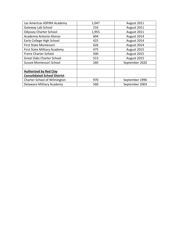| Las Americas ASPIRA Academy         | 1,047 | August 2011    |
|-------------------------------------|-------|----------------|
| Gateway Lab School                  | 216   | August 2011    |
| <b>Odyssey Charter School</b>       | 1,955 | August 2011    |
| Academia Antonio Alonso             | 604   | August 2014    |
| Early College High School           | 425   | August 2014    |
| First State Montessori              | 626   | August 2014    |
| First State Military Academy        | 475   | August 2015    |
| <b>Freire Charter School</b>        | 500   | August 2015    |
| <b>Great Oaks Charter School</b>    | 513   | August 2015    |
| Sussex Montessori School            | 260   | September 2020 |
|                                     |       |                |
| <b>Authorized by Red Clay</b>       |       |                |
| <b>Consolidated School District</b> |       |                |
| Charter School of Wilmington        | 970   | September 1996 |
| Delaware Military Academy           | 560   | September 2003 |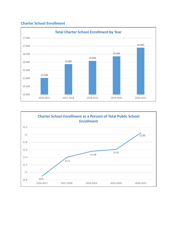# **Charter School Enrollment**



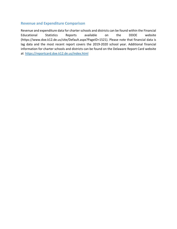# **Revenue and Expenditure Comparison**

Revenue and expenditure data for charter schools and districts can be found within the Financial Educational Statistics Reports available on the DDOE website (https://www.doe.k12.de.us/site/Default.aspx?PageID=1521). Please note that financial data is lag data and the most recent report covers the 2019-2020 school year. Additional financial information for charter schools and districts can be found on the Delaware Report Card website at <https://reportcard.doe.k12.de.us/index.html>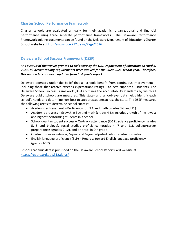# **Charter School Performance Framework**

Charter schools are evaluated annually for their academic, organizational and financial performance using three separate performance frameworks. The Delaware Performance Framework guiding documents can be found on the Delaware Department of Education's Charter School website at [https://www.doe.k12.de.us/Page/2626.](https://www.doe.k12.de.us/Page/2626)

# **Delaware School Success Framework (DSSF)**

#### *\*As a result of the waiver granted to Delaware by the U.S. Department of Education on April 6, 2021, all accountability requirements were waived for the 2020-2021 school year. Therefore, this section has not been updated from last year's report.*

Delaware operates under the belief that all schools benefit from continuous improvement – including those that receive exceeds expectations ratings – to best support all students. The Delaware School Success Framework (DSSF) outlines the accountability standards by which all Delaware public schools are measured. This state- and school-level data helps identify each school's needs and determine how best to support students across the state. The DSSF measures the following areas to determine school success:

- Academic achievement Proficiency for ELA and math (grades 3-8 and 11)
- Academic progress Growth in ELA and math (grades 4-8); includes growth of the lowest and highest performing students in a school
- School quality/student success On-track attendance (K-12), science proficiency (grades 5, 8 and biology), social studies proficiency (grades 4, 7 and 11), college/career preparedness (grades 9-12), and on-track in 9th grade
- Graduation rates 4-year, 5-year and 6-year adjusted cohort graduation rates
- English language proficiency (ELP) Progress toward English language proficiency (grades 1-12)

School academic data is published on the Delaware School Report Card website at <https://reportcard.doe.k12.de.us/>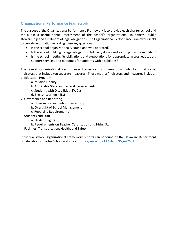# **Organizational Performance Framework**

The purpose of the Organizational Performance Framework is to provide each charter school and the public a useful annual assessment of the school's organizational soundness, public stewardship and fulfillment of legal obligations. The Organizational Performance Framework seeks to provide information regarding these key questions:

- Is the school organizationally sound and well operated?
- Is the school fulfilling its legal obligations, fiduciary duties and sound public stewardship?
- Is the school meeting its obligations and expectations for appropriate access, education, support services, and outcomes for students with disabilities?

The overall Organizational Performance Framework is broken down into four metrics or indicators that include ten separate measures. These metrics/indicators and measures include: 1. Education Program

- a. Mission Fidelity
	- b. Applicable State and Federal Requirements
	- c. Students with Disabilities (SWDs)
	- d. English Learners (ELs)
- 2. Governance and Reporting
	- a. Governance and Public Stewardship
	- b. Oversight of School Management
	- c. Reporting Requirements
- 3. Students and Staff
	- a. Student Rights
	- b. Requirements on Teacher Certification and Hiring Staff
- 4. Facilities, Transportation, Health, and Safety

Individual school Organizational Framework reports can be found on the Delaware Department of Education's Charter School website at<https://www.doe.k12.de.us/Page/2631>.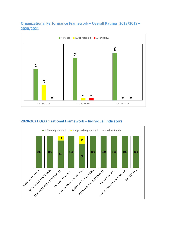# **Organizational Performance Framework – Overall Ratings, 2018/2019 – 2020/2021**



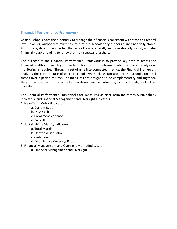# **Financial Performance Framework**

Charter schools have the autonomy to manage their financials consistent with state and federal law; however, authorizers must ensure that the schools they authorize are financially stable. Authorizers, determine whether that school is academically and operationally sound, and also financially viable, leading to renewal or non-renewal of a charter.

The purpose of the Financial Performance Framework is to provide key data to assess the financial health and viability of charter schools and to determine whether deeper analysis or monitoring is required. Through a set of nine interconnected metrics, the Financial Framework analyzes the current state of charter schools while taking into account the school's financial trends over a period of time. The measures are designed to be complementary and together, they provide a lens into a school's near-term financial situation, historic trends, and future viability.

The Financial Performance Frameworks are measured as Near-Term Indicators, Sustainability Indicators, and Financial Management and Oversight Indicators.

- 1. Near-Term Metric/Indicators
	- a. Current Ratio
	- b. Days Cash
	- c. Enrollment Variance
	- d. Default
- 2. Sustainability Metric/Indicators
	- a. Total Margin
	- b. Debt to Asset Ratio
	- c. Cash Flow
	- d. Debt Service Coverage Ratio
- 3. Financial Management and Oversight Metric/Indicators
	- a. Financial Management and Oversight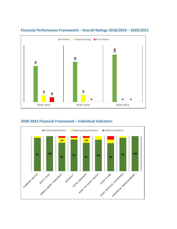

#### **Financial Performance Framework – Overall Ratings 2018/2019 – 2020/2021**